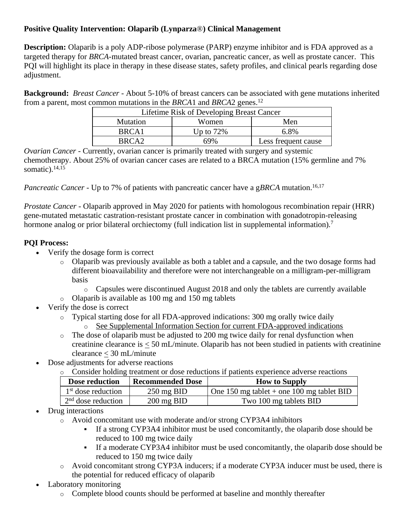# **Positive Quality Intervention: Olaparib (Lynparza**®**) Clinical Management**

**Description:** Olaparib is a poly ADP-ribose polymerase (PARP) enzyme inhibitor and is FDA approved as a targeted therapy for *BRCA*-mutated breast cancer, ovarian, pancreatic cancer, as well as prostate cancer. This PQI will highlight its place in therapy in these disease states, safety profiles, and clinical pearls regarding dose adjustment.

**Background:** *Breast Cancer -* About 5-10% of breast cancers can be associated with gene mutations inherited from a parent, most common mutations in the *BRCA*1 and *BRCA*2 genes. 12

| Lifetime Risk of Developing Breast Cancer |              |                     |  |  |
|-------------------------------------------|--------------|---------------------|--|--|
| <b>Mutation</b>                           | Women        | Men                 |  |  |
| BRCA <sub>1</sub>                         | Up to $72\%$ | 6.8%                |  |  |
| BRCA <sub>2</sub>                         | 69%          | Less frequent cause |  |  |

*Ovarian Cancer -* Currently, ovarian cancer is primarily treated with surgery and systemic chemotherapy. About 25% of ovarian cancer cases are related to a BRCA mutation (15% germline and 7% somatic). 14,15

*Pancreatic Cancer -* Up to 7% of patients with pancreatic cancer have a g*BRCA* mutation. 16,17

*Prostate Cancer -* Olaparib approved in May 2020 for patients with homologous recombination repair (HRR) gene-mutated metastatic castration-resistant prostate cancer in combination with gonadotropin-releasing hormone analog or prior bilateral orchiectomy (full indication list in supplemental information)*.* 7

## **PQI Process:**

- Verify the dosage form is correct
	- o Olaparib was previously available as both a tablet and a capsule, and the two dosage forms had different bioavailability and therefore were not interchangeable on a milligram-per-milligram basis
		- o Capsules were discontinued August 2018 and only the tablets are currently available
	- o Olaparib is available as 100 mg and 150 mg tablets
- Verify the dose is correct
	- o Typical starting dose for all FDA-approved indications: 300 mg orally twice daily
		- o See Supplemental Information Section for current FDA-approved indications
	- o The dose of olaparib must be adjusted to 200 mg twice daily for renal dysfunction when creatinine clearance is < 50 mL/minute. Olaparib has not been studied in patients with creatinine clearance < 30 mL/minute
- Dose adjustments for adverse reactions
	- o Consider holding treatment or dose reductions if patients experience adverse reactions

| Dose reduction                 | <b>Recommended Dose</b> | <b>How to Supply</b>                      |
|--------------------------------|-------------------------|-------------------------------------------|
| 1 <sup>st</sup> dose reduction | $250 \text{ mg BID}$    | One 150 mg tablet + one 100 mg tablet BID |
| $2nd$ dose reduction           | $200 \text{ mg } BID$   | Two 100 mg tablets BID                    |

- Drug interactions
	- o Avoid concomitant use with moderate and/or strong CYP3A4 inhibitors
		- If a strong CYP3A4 inhibitor must be used concomitantly, the olaparib dose should be reduced to 100 mg twice daily
		- If a moderate CYP3A4 inhibitor must be used concomitantly, the olaparib dose should be reduced to 150 mg twice daily
	- o Avoid concomitant strong CYP3A inducers; if a moderate CYP3A inducer must be used, there is the potential for reduced efficacy of olaparib
- Laboratory monitoring
	- o Complete blood counts should be performed at baseline and monthly thereafter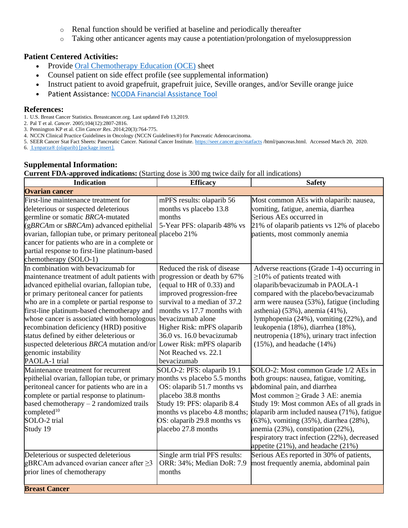- o Renal function should be verified at baseline and periodically thereafter
- o Taking other anticancer agents may cause a potentiation/prolongation of myelosuppression

#### **Patient Centered Activities:**

- Provide [Oral Chemotherapy Education \(OCE\)](https://www.oralchemoedsheets.com/index.php/sheet-library/24-available/generic/306-olaparib) sheet
- Counsel patient on side effect profile (see supplemental information)
- Instruct patient to avoid grapefruit, grapefruit juice, Seville oranges, and/or Seville orange juice
- Patient Assistance: [NCODA Financial Assistance Tool](https://www.ncoda.org/financial-assistance/)

#### **References:**

- 1. U.S. Breast Cancer Statistics. Breastcancer.org. Last updated Feb 13,2019.
- 2. Pal T et al. *Cancer*. 2005;104(12):2807-2816.
- 3. Pennington KP et al. *Clin Cancer Res*. 2014;20(3):764-775.
- 4. NCCN Clinical Practice Guidelines in Oncology (NCCN Guidelines®) for Pancreatic Adenocarcinoma.
- 5. SEER Cancer Stat Fact Sheets: Pancreatic Cancer. National Cancer Institute.<https://seer.cancer.gov/statfacts> /html/pancreas.html. Accessed March 20, 2020.
- 6. [Lynparza® \(olaparib\) \[package insert\].](https://www.accessdata.fda.gov/drugsatfda_docs/label/2018/208558s001lbl.pdf)

### **Supplemental Information:**

**Current FDA-approved indications:** (Starting dose is 300 mg twice daily for all indications)

| <b>Indication</b>                                                                                                                                                                                                                                                                                                                                                                                                                                                                                                                  | <b>Efficacy</b>                                                                                                                                                                                                                                                                                           | <b>Safety</b>                                                                                                                                                                                                                                                                                                                                                                                                             |
|------------------------------------------------------------------------------------------------------------------------------------------------------------------------------------------------------------------------------------------------------------------------------------------------------------------------------------------------------------------------------------------------------------------------------------------------------------------------------------------------------------------------------------|-----------------------------------------------------------------------------------------------------------------------------------------------------------------------------------------------------------------------------------------------------------------------------------------------------------|---------------------------------------------------------------------------------------------------------------------------------------------------------------------------------------------------------------------------------------------------------------------------------------------------------------------------------------------------------------------------------------------------------------------------|
| <b>Ovarian cancer</b>                                                                                                                                                                                                                                                                                                                                                                                                                                                                                                              |                                                                                                                                                                                                                                                                                                           |                                                                                                                                                                                                                                                                                                                                                                                                                           |
| First-line maintenance treatment for<br>deleterious or suspected deleterious<br>germline or somatic BRCA-mutated<br>$(gBRCAm)$ or $sBRCAm)$ advanced epithelial<br>ovarian, fallopian tube, or primary peritoneal placebo 21%<br>cancer for patients who are in a complete or<br>partial response to first-line platinum-based<br>chemotherapy (SOLO-1)                                                                                                                                                                            | mPFS results: olaparib 56<br>months vs placebo 13.8<br>months<br>5-Year PFS: olaparib 48% vs                                                                                                                                                                                                              | Most common AEs with olaparib: nausea,<br>vomiting, fatigue, anemia, diarrhea<br>Serious AEs occurred in<br>21% of olaparib patients vs 12% of placebo<br>patients, most commonly anemia                                                                                                                                                                                                                                  |
| In combination with bevacizumab for<br>maintenance treatment of adult patients with<br>advanced epithelial ovarian, fallopian tube,<br>or primary peritoneal cancer for patients<br>who are in a complete or partial response to<br>first-line platinum-based chemotherapy and<br>whose cancer is associated with homologous<br>recombination deficiency (HRD) positive<br>status defined by either deleterious or<br>suspected deleterious BRCA mutation and/or Lower Risk: mPFS olaparib<br>genomic instability<br>PAOLA-1 trial | Reduced the risk of disease<br>progression or death by 67%<br>(equal to HR of 0.33) and<br>improved progression-free<br>survival to a median of 37.2<br>months vs 17.7 months with<br>bevacizumab alone<br>Higher Risk: mPFS olaparib<br>36.0 vs. 16.0 bevacizumab<br>Not Reached vs. 22.1<br>bevacizumab | Adverse reactions (Grade 1-4) occurring in<br>$\geq$ 10% of patients treated with<br>olaparib/bevacizumab in PAOLA-1<br>compared with the placebo/bevacizumab<br>arm were nausea (53%), fatigue (including<br>asthenia) (53%), anemia (41%),<br>lymphopenia (24%), vomiting (22%), and<br>leukopenia (18%), diarrhea (18%),<br>neutropenia (18%), urinary tract infection<br>$(15\%)$ , and headache $(14\%)$             |
| Maintenance treatment for recurrent<br>epithelial ovarian, fallopian tube, or primary<br>peritoneal cancer for patients who are in a<br>complete or partial response to platinum-<br>based chemotherapy $-2$ randomized trails<br>completed $10$<br>SOLO-2 trial<br>Study 19                                                                                                                                                                                                                                                       | SOLO-2: PFS: olaparib 19.1<br>months vs placebo 5.5 months<br>OS: olaparib 51.7 months vs<br>placebo 38.8 months<br>Study 19: PFS: olaparib 8.4<br>months vs placebo 4.8 months;<br>OS: olaparib 29.8 months vs<br>placebo 27.8 months                                                                    | SOLO-2: Most common Grade 1/2 AEs in<br>both groups: nausea, fatigue, vomiting,<br>abdominal pain, and diarrhea<br>Most common $\geq$ Grade 3 AE: anemia<br>Study 19: Most common AEs of all grads in<br>olaparib arm included nausea (71%), fatigue<br>(63%), vomiting (35%), diarrhea (28%),<br>anemia (23%), constipation (22%),<br>respiratory tract infection (22%), decreased<br>appetite (21%), and headache (21%) |
| Deleterious or suspected deleterious<br>gBRCAm advanced ovarian cancer after $\geq$ 3<br>prior lines of chemotherapy<br><b>Breast Cancer</b>                                                                                                                                                                                                                                                                                                                                                                                       | Single arm trial PFS results:<br>ORR: 34%; Median DoR: 7.9<br>months                                                                                                                                                                                                                                      | Serious AEs reported in 30% of patients,<br>most frequently anemia, abdominal pain                                                                                                                                                                                                                                                                                                                                        |
|                                                                                                                                                                                                                                                                                                                                                                                                                                                                                                                                    |                                                                                                                                                                                                                                                                                                           |                                                                                                                                                                                                                                                                                                                                                                                                                           |